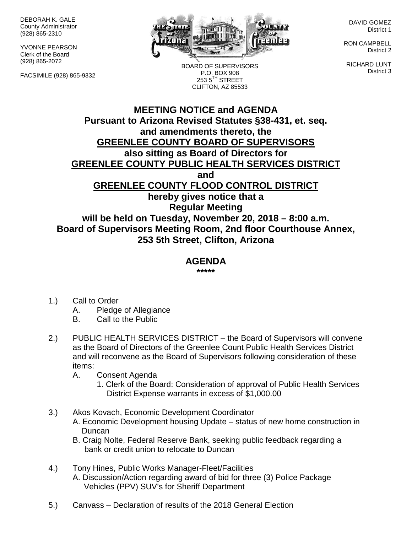DEBORAH K. GALE County Administrator (928) 865-2310

YVONNE PEARSON Clerk of the Board (928) 865-2072

FACSIMILE (928) 865-9332



BOARD OF SUPERVISORS P.O. BOX 908  $253.5$ <sup>TH</sup> STREET CLIFTON, AZ 85533

DAVID GOMEZ District 1

RON CAMPBELL District 2

RICHARD LUNT District 3

## **MEETING NOTICE and AGENDA Pursuant to Arizona Revised Statutes §38-431, et. seq. and amendments thereto, the GREENLEE COUNTY BOARD OF SUPERVISORS also sitting as Board of Directors for GREENLEE COUNTY PUBLIC HEALTH SERVICES DISTRICT and GREENLEE COUNTY FLOOD CONTROL DISTRICT hereby gives notice that a Regular Meeting will be held on Tuesday, November 20, 2018 – 8:00 a.m.**

**Board of Supervisors Meeting Room, 2nd floor Courthouse Annex, 253 5th Street, Clifton, Arizona**

## **AGENDA**

**\*\*\*\*\***

- 1.) Call to Order
	- A. Pledge of Allegiance
	- B. Call to the Public
- 2.) PUBLIC HEALTH SERVICES DISTRICT the Board of Supervisors will convene as the Board of Directors of the Greenlee Count Public Health Services District and will reconvene as the Board of Supervisors following consideration of these items:
	- A. Consent Agenda
		- 1. Clerk of the Board: Consideration of approval of Public Health Services District Expense warrants in excess of \$1,000.00
- 3.) Akos Kovach, Economic Development Coordinator
	- A. Economic Development housing Update status of new home construction in Duncan
	- B. Craig Nolte, Federal Reserve Bank, seeking public feedback regarding a bank or credit union to relocate to Duncan
- 4.) Tony Hines, Public Works Manager-Fleet/Facilities A. Discussion/Action regarding award of bid for three (3) Police Package Vehicles (PPV) SUV's for Sheriff Department
- 5.) Canvass Declaration of results of the 2018 General Election